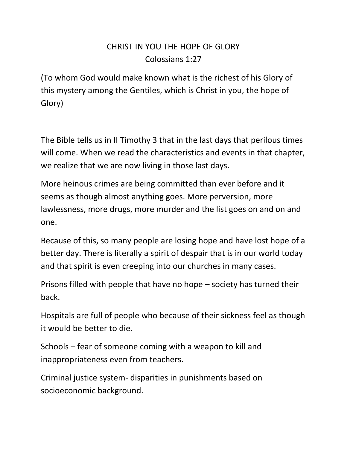## CHRIST IN YOU THE HOPE OF GLORY Colossians 1:27

(To whom God would make known what is the richest of his Glory of this mystery among the Gentiles, which is Christ in you, the hope of Glory)

The Bible tells us in II Timothy 3 that in the last days that perilous times will come. When we read the characteristics and events in that chapter, we realize that we are now living in those last days.

More heinous crimes are being committed than ever before and it seems as though almost anything goes. More perversion, more lawlessness, more drugs, more murder and the list goes on and on and one.

Because of this, so many people are losing hope and have lost hope of a better day. There is literally a spirit of despair that is in our world today and that spirit is even creeping into our churches in many cases.

Prisons filled with people that have no hope – society has turned their back.

Hospitals are full of people who because of their sickness feel as though it would be better to die.

Schools – fear of someone coming with a weapon to kill and inappropriateness even from teachers.

Criminal justice system- disparities in punishments based on socioeconomic background.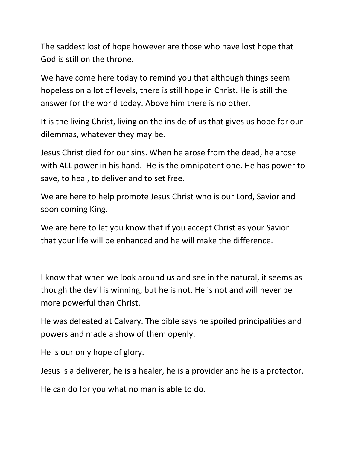The saddest lost of hope however are those who have lost hope that God is still on the throne.

We have come here today to remind you that although things seem hopeless on a lot of levels, there is still hope in Christ. He is still the answer for the world today. Above him there is no other.

It is the living Christ, living on the inside of us that gives us hope for our dilemmas, whatever they may be.

Jesus Christ died for our sins. When he arose from the dead, he arose with ALL power in his hand. He is the omnipotent one. He has power to save, to heal, to deliver and to set free.

We are here to help promote Jesus Christ who is our Lord, Savior and soon coming King.

We are here to let you know that if you accept Christ as your Savior that your life will be enhanced and he will make the difference.

I know that when we look around us and see in the natural, it seems as though the devil is winning, but he is not. He is not and will never be more powerful than Christ.

He was defeated at Calvary. The bible says he spoiled principalities and powers and made a show of them openly.

He is our only hope of glory.

Jesus is a deliverer, he is a healer, he is a provider and he is a protector.

He can do for you what no man is able to do.